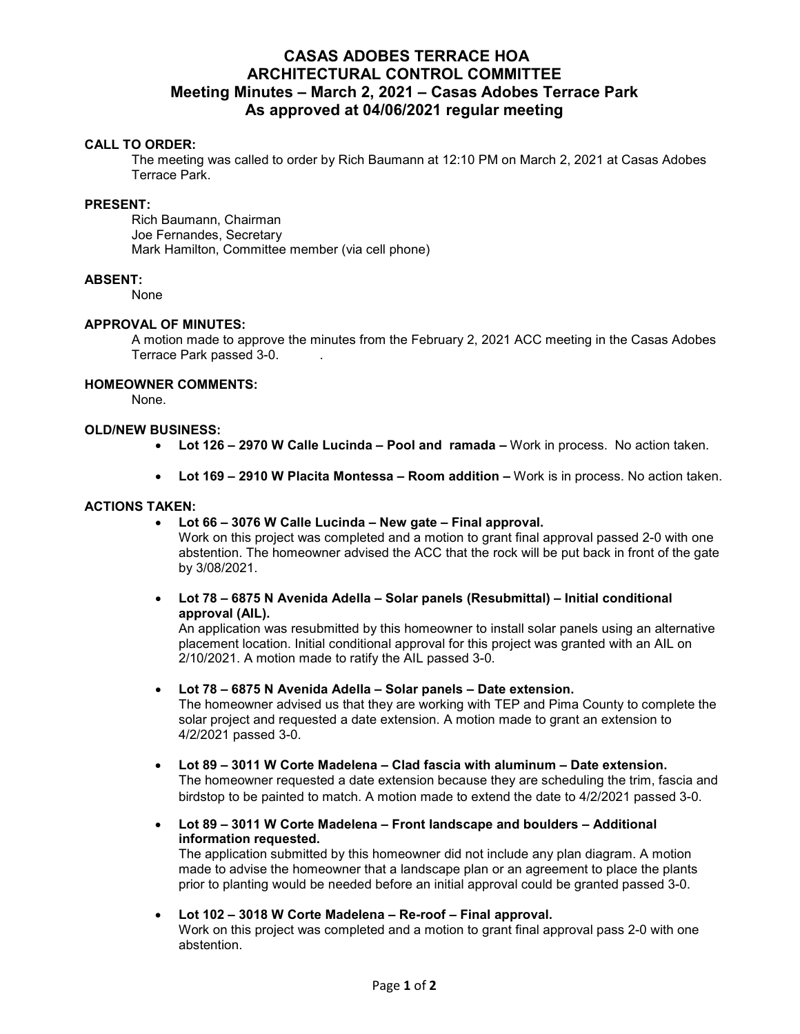# **CASAS ADOBES TERRACE HOA ARCHITECTURAL CONTROL COMMITTEE Meeting Minutes – March 2, 2021 – Casas Adobes Terrace Park As approved at 04/06/2021 regular meeting**

# **CALL TO ORDER:**

The meeting was called to order by Rich Baumann at 12:10 PM on March 2, 2021 at Casas Adobes Terrace Park.

#### **PRESENT:**

Rich Baumann, Chairman Joe Fernandes, Secretary Mark Hamilton, Committee member (via cell phone)

## **ABSENT:**

None

## **APPROVAL OF MINUTES:**

A motion made to approve the minutes from the February 2, 2021 ACC meeting in the Casas Adobes Terrace Park passed 3-0. .

# **HOMEOWNER COMMENTS:**

None.

# **OLD/NEW BUSINESS:**

- **Lot 126 2970 W Calle Lucinda Pool and ramada –** Work in process. No action taken.
- **Lot 169 2910 W Placita Montessa Room addition –** Work is in process. No action taken.

## **ACTIONS TAKEN:**

**Lot 66 – 3076 W Calle Lucinda – New gate – Final approval.** 

Work on this project was completed and a motion to grant final approval passed 2-0 with one abstention. The homeowner advised the ACC that the rock will be put back in front of the gate by 3/08/2021.

 **Lot 78 – 6875 N Avenida Adella – Solar panels (Resubmittal) – Initial conditional approval (AIL).** 

An application was resubmitted by this homeowner to install solar panels using an alternative placement location. Initial conditional approval for this project was granted with an AIL on 2/10/2021. A motion made to ratify the AIL passed 3-0.

**Lot 78 – 6875 N Avenida Adella – Solar panels – Date extension.**

The homeowner advised us that they are working with TEP and Pima County to complete the solar project and requested a date extension. A motion made to grant an extension to 4/2/2021 passed 3-0.

- **Lot 89 3011 W Corte Madelena Clad fascia with aluminum Date extension.**  The homeowner requested a date extension because they are scheduling the trim, fascia and birdstop to be painted to match. A motion made to extend the date to 4/2/2021 passed 3-0.
- **Lot 89 3011 W Corte Madelena Front landscape and boulders Additional information requested.**

The application submitted by this homeowner did not include any plan diagram. A motion made to advise the homeowner that a landscape plan or an agreement to place the plants prior to planting would be needed before an initial approval could be granted passed 3-0.

**Lot 102 – 3018 W Corte Madelena – Re-roof – Final approval.** 

Work on this project was completed and a motion to grant final approval pass 2-0 with one abstention.